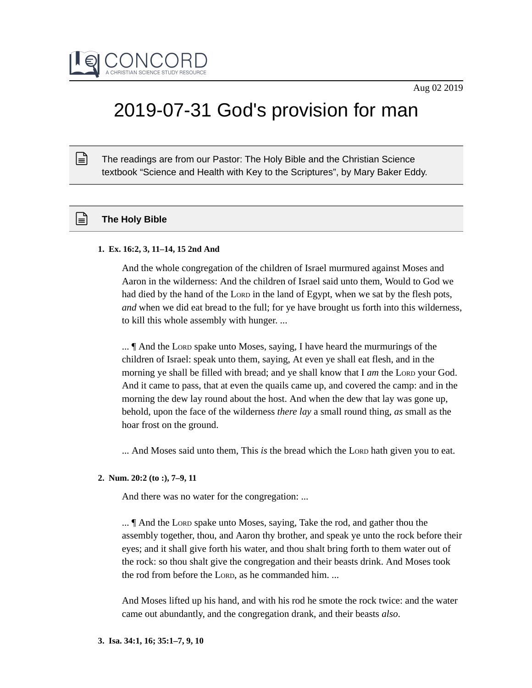

# 2019-07-31 God's provision for man

The readings are from our Pastor: The Holy Bible and the Christian Science textbook "Science and Health with Key to the Scriptures", by Mary Baker Eddy.

## **The Holy Bible**

 $\mathbb{R}$ 

#### **1. Ex. 16:2, 3, 11–14, 15 2nd And**

And the whole congregation of the children of Israel murmured against Moses and Aaron in the wilderness: And the children of Israel said unto them, Would to God we had died by the hand of the Lorp in the land of Egypt, when we sat by the flesh pots, *and* when we did eat bread to the full; for ye have brought us forth into this wilderness, to kill this whole assembly with hunger. ...

... ¶ And the LORD spake unto Moses, saying, I have heard the murmurings of the children of Israel: speak unto them, saying, At even ye shall eat flesh, and in the morning ye shall be filled with bread; and ye shall know that I *am* the LORD your God. And it came to pass, that at even the quails came up, and covered the camp: and in the morning the dew lay round about the host. And when the dew that lay was gone up, behold, upon the face of the wilderness *there lay* a small round thing, *as* small as the hoar frost on the ground.

... And Moses said unto them, This *is* the bread which the LORD hath given you to eat.

### **2. Num. 20:2 (to :), 7–9, 11**

And there was no water for the congregation: ...

... ¶ And the LORD spake unto Moses, saying, Take the rod, and gather thou the assembly together, thou, and Aaron thy brother, and speak ye unto the rock before their eyes; and it shall give forth his water, and thou shalt bring forth to them water out of the rock: so thou shalt give the congregation and their beasts drink. And Moses took the rod from before the LORD, as he commanded him. ...

And Moses lifted up his hand, and with his rod he smote the rock twice: and the water came out abundantly, and the congregation drank, and their beasts *also*.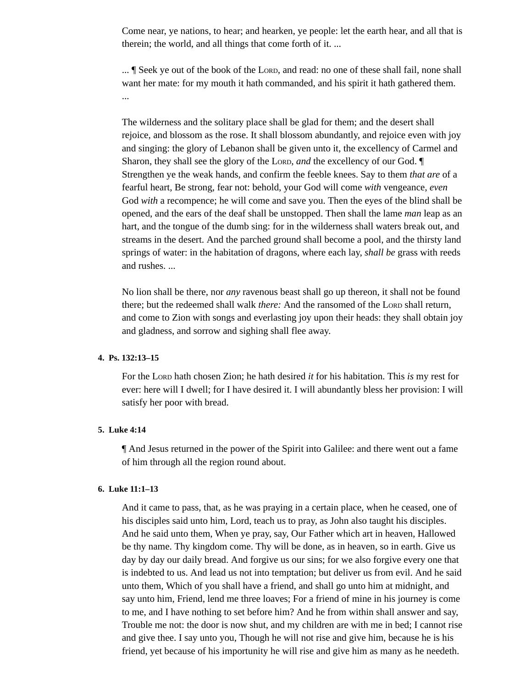Come near, ye nations, to hear; and hearken, ye people: let the earth hear, and all that is therein; the world, and all things that come forth of it. ...

... ¶ Seek ye out of the book of the LORD, and read: no one of these shall fail, none shall want her mate: for my mouth it hath commanded, and his spirit it hath gathered them. ...

The wilderness and the solitary place shall be glad for them; and the desert shall rejoice, and blossom as the rose. It shall blossom abundantly, and rejoice even with joy and singing: the glory of Lebanon shall be given unto it, the excellency of Carmel and Sharon, they shall see the glory of the LORD, *and* the excellency of our God. ¶ Strengthen ye the weak hands, and confirm the feeble knees. Say to them *that are* of a fearful heart, Be strong, fear not: behold, your God will come *with* vengeance, *even* God *with* a recompence; he will come and save you. Then the eyes of the blind shall be opened, and the ears of the deaf shall be unstopped. Then shall the lame *man* leap as an hart, and the tongue of the dumb sing: for in the wilderness shall waters break out, and streams in the desert. And the parched ground shall become a pool, and the thirsty land springs of water: in the habitation of dragons, where each lay, *shall be* grass with reeds and rushes. ...

No lion shall be there, nor *any* ravenous beast shall go up thereon, it shall not be found there; but the redeemed shall walk *there:* And the ransomed of the LORD shall return, and come to Zion with songs and everlasting joy upon their heads: they shall obtain joy and gladness, and sorrow and sighing shall flee away.

## **4. Ps. 132:13–15**

For the LORD hath chosen Zion; he hath desired *it* for his habitation. This *is* my rest for ever: here will I dwell; for I have desired it. I will abundantly bless her provision: I will satisfy her poor with bread.

## **5. Luke 4:14**

¶ And Jesus returned in the power of the Spirit into Galilee: and there went out a fame of him through all the region round about.

#### **6. Luke 11:1–13**

And it came to pass, that, as he was praying in a certain place, when he ceased, one of his disciples said unto him, Lord, teach us to pray, as John also taught his disciples. And he said unto them, When ye pray, say, Our Father which art in heaven, Hallowed be thy name. Thy kingdom come. Thy will be done, as in heaven, so in earth. Give us day by day our daily bread. And forgive us our sins; for we also forgive every one that is indebted to us. And lead us not into temptation; but deliver us from evil. And he said unto them, Which of you shall have a friend, and shall go unto him at midnight, and say unto him, Friend, lend me three loaves; For a friend of mine in his journey is come to me, and I have nothing to set before him? And he from within shall answer and say, Trouble me not: the door is now shut, and my children are with me in bed; I cannot rise and give thee. I say unto you, Though he will not rise and give him, because he is his friend, yet because of his importunity he will rise and give him as many as he needeth.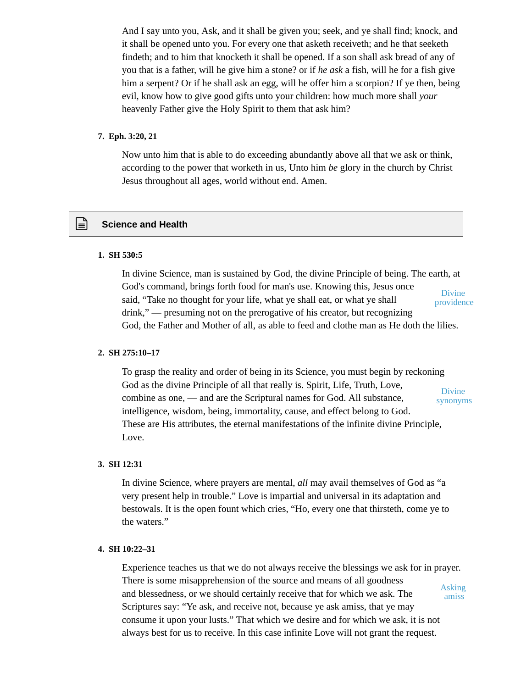And I say unto you, Ask, and it shall be given you; seek, and ye shall find; knock, and it shall be opened unto you. For every one that asketh receiveth; and he that seeketh findeth; and to him that knocketh it shall be opened. If a son shall ask bread of any of you that is a father, will he give him a stone? or if *he ask* a fish, will he for a fish give him a serpent? Or if he shall ask an egg, will he offer him a scorpion? If ye then, being evil, know how to give good gifts unto your children: how much more shall *your* heavenly Father give the Holy Spirit to them that ask him?

#### **7. Eph. 3:20, 21**

Now unto him that is able to do exceeding abundantly above all that we ask or think, according to the power that worketh in us, Unto him *be* glory in the church by Christ Jesus throughout all ages, world without end. Amen.

# **Science and Health**

#### **1. SH 530:5**

In divine Science, man is sustained by God, the divine Principle of being. The earth, at God's command, brings forth food for man's use. Knowing this, Jesus once said, "Take no thought for your life, what ye shall eat, or what ye shall drink," — presuming not on the prerogative of his creator, but recognizing God, the Father and Mother of all, as able to feed and clothe man as He doth the lilies. Divine providence

#### **2. SH 275:10–17**

To grasp the reality and order of being in its Science, you must begin by reckoning God as the divine Principle of all that really is. Spirit, Life, Truth, Love, combine as one, — and are the Scriptural names for God. All substance, intelligence, wisdom, being, immortality, cause, and effect belong to God. These are His attributes, the eternal manifestations of the infinite divine Principle, Love. Divine synonyms

#### **3. SH 12:31**

In divine Science, where prayers are mental, *all* may avail themselves of God as "a very present help in trouble." Love is impartial and universal in its adaptation and bestowals. It is the open fount which cries, "Ho, every one that thirsteth, come ye to the waters."

## **4. SH 10:22–31**

Experience teaches us that we do not always receive the blessings we ask for in prayer. There is some misapprehension of the source and means of all goodness and blessedness, or we should certainly receive that for which we ask. The Scriptures say: "Ye ask, and receive not, because ye ask amiss, that ye may consume it upon your lusts." That which we desire and for which we ask, it is not always best for us to receive. In this case infinite Love will not grant the request. Asking amiss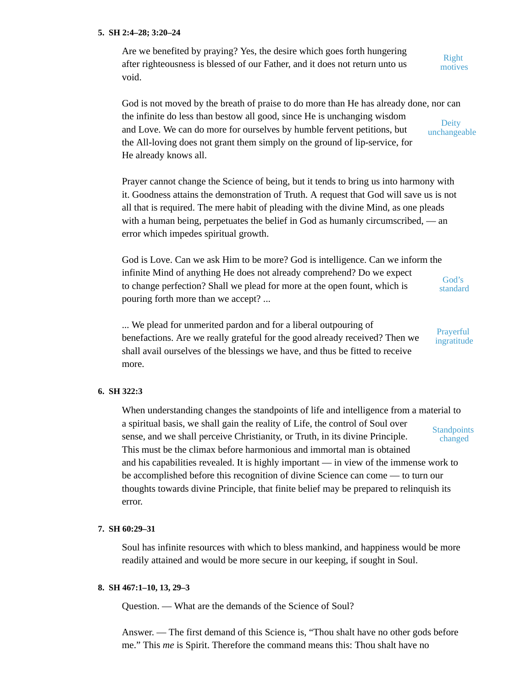#### **5. SH 2:4–28; 3:20–24**

Are we benefited by praying? Yes, the desire which goes forth hungering after righteousness is blessed of our Father, and it does not return unto us void.

Right motives

God is not moved by the breath of praise to do more than He has already done, nor can the infinite do less than bestow all good, since He is unchanging wisdom and Love. We can do more for ourselves by humble fervent petitions, but the All-loving does not grant them simply on the ground of lip-service, for He already knows all. **Deity** unchangeable

Prayer cannot change the Science of being, but it tends to bring us into harmony with it. Goodness attains the demonstration of Truth. A request that God will save us is not all that is required. The mere habit of pleading with the divine Mind, as one pleads with a human being, perpetuates the belief in God as humanly circumscribed, — an error which impedes spiritual growth.

God is Love. Can we ask Him to be more? God is intelligence. Can we inform the infinite Mind of anything He does not already comprehend? Do we expect to change perfection? Shall we plead for more at the open fount, which is pouring forth more than we accept? ... God's standard

... We plead for unmerited pardon and for a liberal outpouring of benefactions. Are we really grateful for the good already received? Then we shall avail ourselves of the blessings we have, and thus be fitted to receive more.

Prayerful

ingratitude

## **6. SH 322:3**

When understanding changes the standpoints of life and intelligence from a material to a spiritual basis, we shall gain the reality of Life, the control of Soul over sense, and we shall perceive Christianity, or Truth, in its divine Principle. This must be the climax before harmonious and immortal man is obtained and his capabilities revealed. It is highly important — in view of the immense work to be accomplished before this recognition of divine Science can come — to turn our thoughts towards divine Principle, that finite belief may be prepared to relinquish its error. **Standpoints** changed

#### **7. SH 60:29–31**

Soul has infinite resources with which to bless mankind, and happiness would be more readily attained and would be more secure in our keeping, if sought in Soul.

## **8. SH 467:1–10, 13, 29–3**

Question. — What are the demands of the Science of Soul?

Answer. — The first demand of this Science is, "Thou shalt have no other gods before me." This *me* is Spirit. Therefore the command means this: Thou shalt have no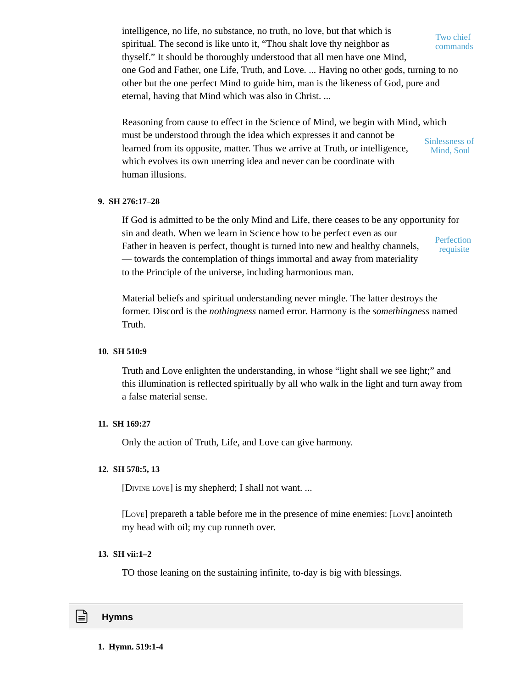intelligence, no life, no substance, no truth, no love, but that which is spiritual. The second is like unto it, "Thou shalt love thy neighbor as thyself." It should be thoroughly understood that all men have one Mind, one God and Father, one Life, Truth, and Love. ... Having no other gods, turning to no other but the one perfect Mind to guide him, man is the likeness of God, pure and eternal, having that Mind which was also in Christ. ...

Reasoning from cause to effect in the Science of Mind, we begin with Mind, which must be understood through the idea which expresses it and cannot be learned from its opposite, matter. Thus we arrive at Truth, or intelligence, which evolves its own unerring idea and never can be coordinate with human illusions. Sinlessness of Mind, Soul

## **9. SH 276:17–28**

If God is admitted to be the only Mind and Life, there ceases to be any opportunity for sin and death. When we learn in Science how to be perfect even as our Father in heaven is perfect, thought is turned into new and healthy channels, — towards the contemplation of things immortal and away from materiality to the Principle of the universe, including harmonious man. **Perfection** requisite

Material beliefs and spiritual understanding never mingle. The latter destroys the former. Discord is the *nothingness* named error. Harmony is the *somethingness* named Truth.

## **10. SH 510:9**

Truth and Love enlighten the understanding, in whose "light shall we see light;" and this illumination is reflected spiritually by all who walk in the light and turn away from a false material sense.

### **11. SH 169:27**

Only the action of Truth, Life, and Love can give harmony.

### **12. SH 578:5, 13**

[DIVINE LOVE] is my shepherd; I shall not want. ...

[LOVE] prepareth a table before me in the presence of mine enemies: [LOVE] anointeth my head with oil; my cup runneth over.

## **13. SH vii:1–2**

TO those leaning on the sustaining infinite, to-day is big with blessings.

Two chief commands